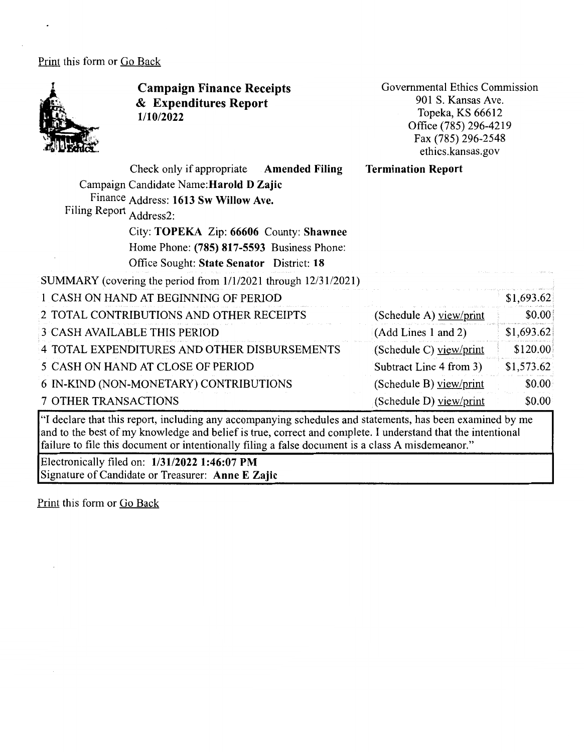## Print this form or Go Back



**Campaign Finance Receipts**  & **Expenditures Report 1/10/2022** 

Governmental Ethics Commission 901 S. Kansas Ave. Topeka, KS 66612 Office (785) 296-4219 Fax (785) 296-2548 ethics.kansas.gov

**Termination Report** 

(Schedule D) view/print

\$0.00

Check only if appropriate **Amended Filing** 

| Campaign Candidate Name: Harold D Zajic |  |  |
|-----------------------------------------|--|--|
| $Lin = 0.1$                             |  |  |

Finance Address: **1613 Sw Willow Ave.** 

Filing Report Address2:

City: **TOPEKA** Zip: **66606** County: **Shawnee**  Home Phone: **(785) 817-5593** Business Phone: Office Sought: State Senator District: 18

SUMMARY (covering the period from 1/1/2021 through 12/31/2021)

| 1 CASH ON HAND AT BEGINNING OF PERIOD        |                         | \$1,693.62 |
|----------------------------------------------|-------------------------|------------|
| 2 TOTAL CONTRIBUTIONS AND OTHER RECEIPTS     | (Schedule A) view/print | \$0.00     |
| <b>3 CASH AVAILABLE THIS PERIOD</b>          | (Add Lines 1 and 2)     | \$1,693.62 |
| 4 TOTAL EXPENDITURES AND OTHER DISBURSEMENTS | (Schedule C) view/print | \$120.00   |
| 5 CASH ON HAND AT CLOSE OF PERIOD            | Subtract Line 4 from 3) | \$1,573.62 |
| 6 IN-KIND (NON-MONETARY) CONTRIBUTIONS       | (Schedule B) view/print | \$0.00     |

7 OTHER TRANSACTIONS

"I declare that this report, including any accompanying schedules and statements, has been examined by me and to the best of my knowledge and belief is true, correct and complete. I understand that the intentional failure to file this document or intentionally filing a false document is a class A misdemeanor."

Electronically filed on: **1/31/2022 1:46:07 PM**  Signature of Candidate or Treasurer: **Anne E Zajic** 

Print this form or Go Back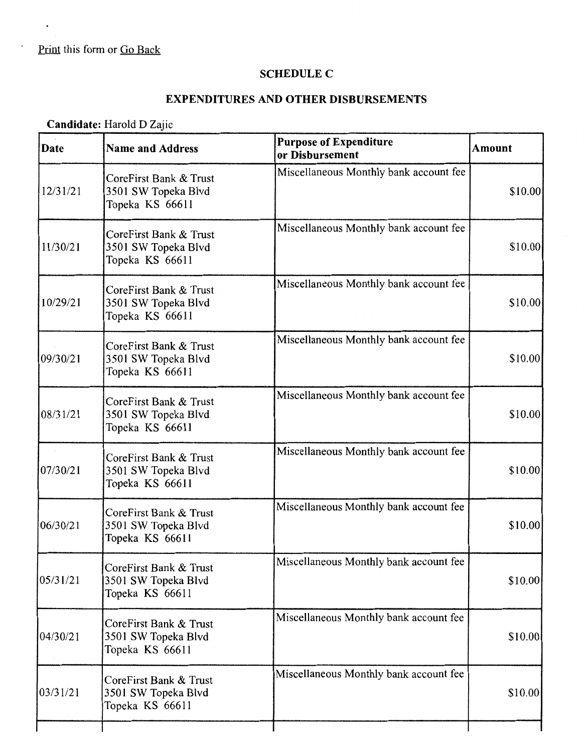$\cdot$ 

## **SCHEDULE C**

## **EXPENDITURES AND OTHER DISBURSEMENTS**

## **Candidate:** Harold D Zajic

| Date     | <b>Name and Address</b>                                          | <b>Purpose of Expenditure</b><br>or Disbursement | <b>Amount</b> |
|----------|------------------------------------------------------------------|--------------------------------------------------|---------------|
| 12/31/21 | CoreFirst Bank & Trust<br>3501 SW Topeka Blvd<br>Topeka KS 66611 | Miscellaneous Monthly bank account fee           | \$10.00       |
| 11/30/21 | CoreFirst Bank & Trust<br>3501 SW Topeka Blvd<br>Topeka KS 66611 | Miscellaneous Monthly bank account fee           | \$10.00       |
| 10/29/21 | CoreFirst Bank & Trust<br>3501 SW Topeka Blvd<br>Topeka KS 66611 | Miscellaneous Monthly bank account fee           | \$10.00       |
| 09/30/21 | CoreFirst Bank & Trust<br>3501 SW Topeka Blvd<br>Topeka KS 66611 | Miscellaneous Monthly bank account fee           | \$10.00       |
| 08/31/21 | CoreFirst Bank & Trust<br>3501 SW Topeka Blvd<br>Topeka KS 66611 | Miscellaneous Monthly bank account fee           | \$10.00       |
| 07/30/21 | CoreFirst Bank & Trust<br>3501 SW Topeka Blvd<br>Topeka KS 66611 | Miscellaneous Monthly bank account fee           | \$10.00       |
| 06/30/21 | CoreFirst Bank & Trust<br>3501 SW Topeka Blvd<br>Topeka KS 66611 | Miscellaneous Monthly bank account fee           | \$10.00       |
| 05/31/21 | CoreFirst Bank & Trust<br>3501 SW Topeka Blvd<br>Topeka KS 66611 | Miscellaneous Monthly bank account fee           | \$10.00       |
| 04/30/21 | CoreFirst Bank & Trust<br>3501 SW Topeka Blvd<br>Topeka KS 66611 | Miscellaneous Monthly bank account fee           | \$10.00       |
| 03/31/21 | CoreFirst Bank & Trust<br>3501 SW Topeka Blvd<br>Topeka KS 66611 | Miscellaneous Monthly bank account fee           | \$10.00       |
|          |                                                                  |                                                  |               |